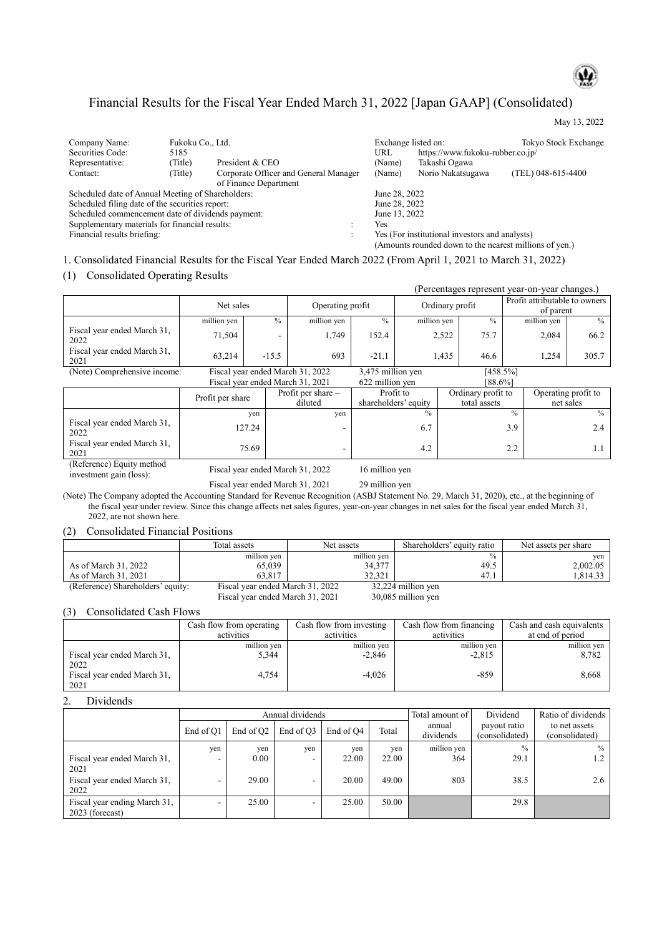

May 13, 2022

# Financial Results for the Fiscal Year Ended March 31, 2022 [Japan GAAP] (Consolidated)

| Company Name:                                     | Fukoku Co., Ltd. |                                       |                                                | Exchange listed on:                                    | Tokyo Stock Exchange |  |
|---------------------------------------------------|------------------|---------------------------------------|------------------------------------------------|--------------------------------------------------------|----------------------|--|
|                                                   |                  |                                       |                                                |                                                        |                      |  |
| Securities Code:                                  | 5185             |                                       | URL                                            | https://www.fukoku-rubber.co.jp/                       |                      |  |
| Representative:                                   | (Title)          | President & CEO                       | (Name)                                         | Takashi Ogawa                                          |                      |  |
| Contact:                                          | (Title)          | Corporate Officer and General Manager | (Name)                                         | Norio Nakatsugawa                                      | (TEL) 048-615-4400   |  |
|                                                   |                  | of Finance Department                 |                                                |                                                        |                      |  |
| Scheduled date of Annual Meeting of Shareholders: |                  |                                       | June 28, 2022                                  |                                                        |                      |  |
| Scheduled filing date of the securities report:   |                  |                                       | June 28, 2022                                  |                                                        |                      |  |
| Scheduled commencement date of dividends payment: |                  |                                       | June 13, 2022                                  |                                                        |                      |  |
| Supplementary materials for financial results:    |                  |                                       | Yes                                            |                                                        |                      |  |
| Financial results briefing:                       |                  |                                       | Yes (For institutional investors and analysts) |                                                        |                      |  |
|                                                   |                  |                                       |                                                | (Amounts rounded down to the nearest millions of yen.) |                      |  |

1. Consolidated Financial Results for the Fiscal Year Ended March 2022 (From April 1, 2021 to March 31, 2022)

(1) Consolidated Operating Results

|                                     |                                                                                                     |               |                      |         |                                 |               | (Percentages represent year-on-year changes.) |                     |
|-------------------------------------|-----------------------------------------------------------------------------------------------------|---------------|----------------------|---------|---------------------------------|---------------|-----------------------------------------------|---------------------|
|                                     | Net sales                                                                                           |               | Operating profit     |         | Ordinary profit                 |               | Profit attributable to owners<br>of parent    |                     |
|                                     | million yen                                                                                         | $\frac{0}{0}$ | million yen          | $\%$    | million yen                     | $\frac{0}{0}$ | million yen                                   | $\frac{0}{0}$       |
| Fiscal year ended March 31,<br>2022 | 71.504                                                                                              |               | 1,749                | 152.4   | 2,522                           | 75.7          | 2,084                                         | 66.2                |
| Fiscal year ended March 31,<br>2021 | 63.214                                                                                              | $-15.5$       | 693                  | $-21.1$ | 1.435                           | 46.6          | 1.254                                         | 305.7               |
| (Note) Comprehensive income:        | Fiscal year ended March 31, 2022                                                                    |               |                      |         | 3,475 million yen<br>[458.5%]   |               |                                               |                     |
|                                     | Fiscal year ended March 31, 2021                                                                    |               |                      |         | 622 million yen<br>[88.6%]      |               |                                               |                     |
|                                     | $\mathbf{D}_{\text{max}} \mathcal{L}$ and $\mathcal{L}_{\text{max}}$ and $\mathcal{L}_{\text{max}}$ |               | Profit per share $-$ |         | Profit to<br>Ordinary profit to |               |                                               | Operating profit to |

|                                     | Profit per share | Profit per share $-$ | Profit to            | Ordinary profit to | Operating profit to |
|-------------------------------------|------------------|----------------------|----------------------|--------------------|---------------------|
|                                     |                  | diluted              | shareholders' equity | total assets       | net sales           |
|                                     | yen              | ven                  | $\frac{0}{0}$        | $\frac{0}{0}$      | $\frac{0}{0}$       |
| Fiscal year ended March 31,<br>2022 | 127.24           |                      | 6.7                  | 3.9                |                     |
| Fiscal year ended March 31,<br>2021 | 75.69            | -                    | 4.2                  | 2.2                |                     |

(Reference) Equity method

Fiscal year ended March 31, 2022 16 million yen<br>Fiscal year ended March 31, 2021 29 million yen

(Note) The Company adopted the Accounting Standard for Revenue Recognition (ASBJ Statement No. 29, March 31, 2020), etc., at the beginning of the fiscal year under review. Since this change affects net sales figures, year-on-year changes in net sales for the fiscal year ended March 31, 2022, are not shown here.

Fiscal year ended March 31, 2021

(2) Consolidated Financial Positions

|                                   | Total assets                     | Net assets  | Shareholders' equity ratio | Net assets per share |
|-----------------------------------|----------------------------------|-------------|----------------------------|----------------------|
|                                   | million yen                      | million yen | $\frac{0}{0}$              | ven                  |
| As of March 31, 2022              | 65,039                           | 34,377      | 49.5                       | 2,002.05             |
| As of March 31, 2021              | 63.817                           | 32.321      | 47.1                       | 1.814.33             |
| (Reference) Shareholders' equity: | Fiscal year ended March 31, 2022 |             | 32,224 million yen         |                      |
|                                   | Fiscal year ended March 31, 2021 |             | 30,085 million yen         |                      |

(3) Consolidated Cash Flows

|                                     | Cash flow from operating | Cash flow from investing | Cash flow from financing | Cash and cash equivalents |
|-------------------------------------|--------------------------|--------------------------|--------------------------|---------------------------|
|                                     | activities               | activities               | activities               | at end of period          |
| Fiscal year ended March 31,         | million yen              | million yen              | million yen              | million yen               |
| 2022                                | 5,344                    | $-2,846$                 | $-2,815$                 | 8,782                     |
| Fiscal year ended March 31,<br>2021 | 4.754                    | $-4.026$                 | $-859$                   | 8.668                     |

#### 2. Dividends

|                                                 |           |                       | Annual dividends |           | Total amount of I | Dividend            | Ratio of dividends             |                                 |
|-------------------------------------------------|-----------|-----------------------|------------------|-----------|-------------------|---------------------|--------------------------------|---------------------------------|
|                                                 | End of O1 | End of Q <sub>2</sub> | End of O3        | End of O4 | Total             | annual<br>dividends | payout ratio<br>(consolidated) | to net assets<br>(consolidated) |
|                                                 | yen       | yen                   | yen              | yen       | yen               | million yen         | $\frac{0}{0}$                  | $\%$                            |
| Fiscal year ended March 31,<br>2021             |           | 0.00                  | -                | 22.00     | 22.00             | 364                 | 29.1                           |                                 |
| Fiscal year ended March 31,<br>2022             |           | 29.00                 |                  | 20.00     | 49.00             | 803                 | 38.5                           | 2.6                             |
| Fiscal year ending March 31,<br>2023 (forecast) |           | 25.00                 | -                | 25.00     | 50.00             |                     | 29.8                           |                                 |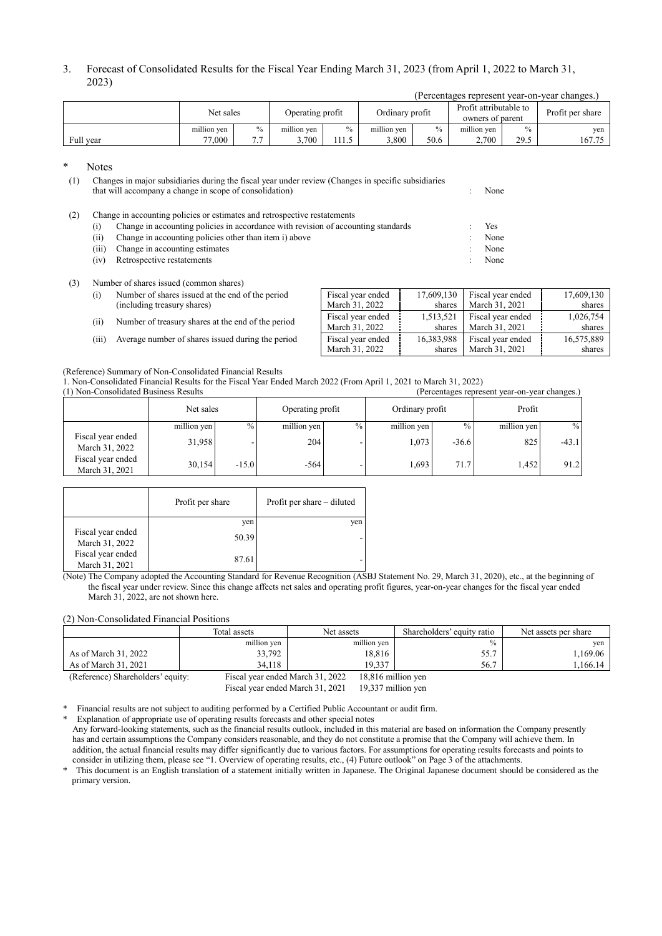| 3. Forecast of Consolidated Results for the Fiscal Year Ending March 31, 2023 (from April 1, 2022 to March 31, |
|----------------------------------------------------------------------------------------------------------------|
| 2023)                                                                                                          |

| (Percentages represent year-on-year changes.) |             |                                     |             |       |             |                                            |             |                  |        |  |  |
|-----------------------------------------------|-------------|-------------------------------------|-------------|-------|-------------|--------------------------------------------|-------------|------------------|--------|--|--|
|                                               | Net sales   | Ordinary profit<br>Operating profit |             |       |             | Profit attributable to<br>owners of parent |             | Profit per share |        |  |  |
|                                               | million ven | $\frac{0}{0}$                       | million ven | $\%$  | million ven | $\%$                                       | million ven | $\%$             | ven    |  |  |
| Full year                                     | 77,000      | $\overline{ }$ $\overline{ }$       | .700        | .11.5 | 3.800       | 50.6                                       | 2,700       | 29.5             | 167.75 |  |  |

Notes

(1) Changes in major subsidiaries during the fiscal year under review (Changes in specific subsidiaries that will accompany a change in scope of consolidation) : None

(2) Change in accounting policies or estimates and retrospective restatements

- (i) Change in accounting policies in accordance with revision of accounting standards : Yes
- (ii) Change in accounting policies other than item i) above : None
- (iii) Change in accounting estimates : None
- (iv) Retrospective restatements : None

#### (3) Number of shares issued (common shares)

- (i) Number of shares issued at the end of the period (including treasury shares)
- (ii) Number of treasury shares at the end of the period
- (iii) Average number of shares issued during the period

| Fiscal year ended | 17,609,130 | Fiscal year ended | 17,609,130 |
|-------------------|------------|-------------------|------------|
| March 31, 2022    | shares     | March 31, 2021    | shares     |
| Fiscal year ended | 1,513,521  | Fiscal year ended | 1,026,754  |
| March 31, 2022    | shares     | March 31, 2021    | shares     |
| Fiscal year ended | 16,383,988 | Fiscal year ended | 16,575,889 |
| March 31, 2022    | shares     | March 31, 2021    | shares     |

### (Reference) Summary of Non-Consolidated Financial Results

1. Non-Consolidated Financial Results for the Fiscal Year Ended March 2022 (From April 1, 2021 to March 31, 2022) (1) Non-Consolidated Business Results (Percentages represent year-on-year changes.)

|                                     | Net sales   |                 | Operating profit |               | Ordinary profit |         | Profit      |         |
|-------------------------------------|-------------|-----------------|------------------|---------------|-----------------|---------|-------------|---------|
|                                     | million yen | $\frac{9}{6}$ 1 | million yen      | $\frac{0}{0}$ | million yen     | $\%$    | million yen | $\%$    |
| Fiscal year ended<br>March 31, 2022 | 31,958      |                 | 204              |               | 1,073           | $-36.6$ | 825         | $-43.1$ |
| Fiscal year ended<br>March 31, 2021 | 30,154      | $-15.0$         | $-564$           |               | 1.693           | 71.7    | 1.452       | 91.2    |

|                                     | Profit per share | Profit per share – diluted |
|-------------------------------------|------------------|----------------------------|
|                                     | yen              | yen                        |
| Fiscal year ended<br>March 31, 2022 | 50.39            |                            |
| Fiscal year ended<br>March 31, 2021 | 87.61            |                            |

(Note) The Company adopted the Accounting Standard for Revenue Recognition (ASBJ Statement No. 29, March 31, 2020), etc., at the beginning of the fiscal year under review. Since this change affects net sales and operating profit figures, year-on-year changes for the fiscal year ended March 31, 2022, are not shown here.

#### (2) Non-Consolidated Financial Positions

|                                                                       | Total assets                     | Net assets  | Shareholders' equity ratio | Net assets per share |
|-----------------------------------------------------------------------|----------------------------------|-------------|----------------------------|----------------------|
|                                                                       | million yen                      | million yen | $\frac{0}{0}$              | yen                  |
| As of March 31, 2022                                                  | 33,792                           | 18.816      | 55.7                       | 1.169.06             |
| As of March 31, 2021                                                  | 34.118                           | 19.337      | 56.7                       | 1.166.14             |
| (Reference) Shareholders' equity:<br>Fiscal year ended March 31, 2022 |                                  |             | 18,816 million yen         |                      |
|                                                                       | Fiscal year ended March 31, 2021 |             | 19.337 million yen         |                      |

\* Financial results are not subject to auditing performed by a Certified Public Accountant or audit firm.

Explanation of appropriate use of operating results forecasts and other special notes

Any forward-looking statements, such as the financial results outlook, included in this material are based on information the Company presently has and certain assumptions the Company considers reasonable, and they do not constitute a promise that the Company will achieve them. In addition, the actual financial results may differ significantly due to various factors. For assumptions for operating results forecasts and points to consider in utilizing them, please see "1. Overview of operating results, etc., (4) Future outlook" on Page 3 of the attachments.

This document is an English translation of a statement initially written in Japanese. The Original Japanese document should be considered as the primary version.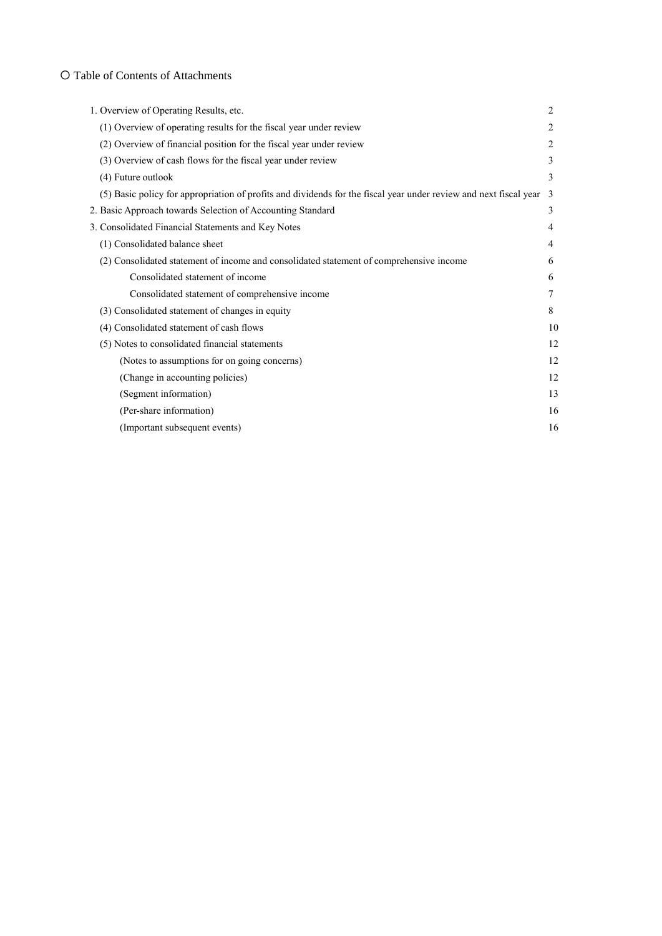# O Table of Contents of Attachments

| 1. Overview of Operating Results, etc.                                                                            | 2              |
|-------------------------------------------------------------------------------------------------------------------|----------------|
| (1) Overview of operating results for the fiscal year under review                                                | 2              |
| (2) Overview of financial position for the fiscal year under review                                               | $\overline{2}$ |
| (3) Overview of cash flows for the fiscal year under review                                                       | 3              |
| (4) Future outlook                                                                                                | 3              |
| (5) Basic policy for appropriation of profits and dividends for the fiscal year under review and next fiscal year | $\mathcal{R}$  |
| 2. Basic Approach towards Selection of Accounting Standard                                                        | 3              |
| 3. Consolidated Financial Statements and Key Notes                                                                | $\overline{4}$ |
| (1) Consolidated balance sheet                                                                                    | $\overline{4}$ |
| (2) Consolidated statement of income and consolidated statement of comprehensive income                           | 6              |
| Consolidated statement of income                                                                                  | 6              |
| Consolidated statement of comprehensive income                                                                    | 7              |
| (3) Consolidated statement of changes in equity                                                                   | 8              |
| (4) Consolidated statement of cash flows                                                                          | 10             |
| (5) Notes to consolidated financial statements                                                                    | 12             |
| (Notes to assumptions for on going concerns)                                                                      | 12             |
| (Change in accounting policies)                                                                                   | 12             |
| (Segment information)                                                                                             | 13             |
| (Per-share information)                                                                                           | 16             |
| (Important subsequent events)                                                                                     | 16             |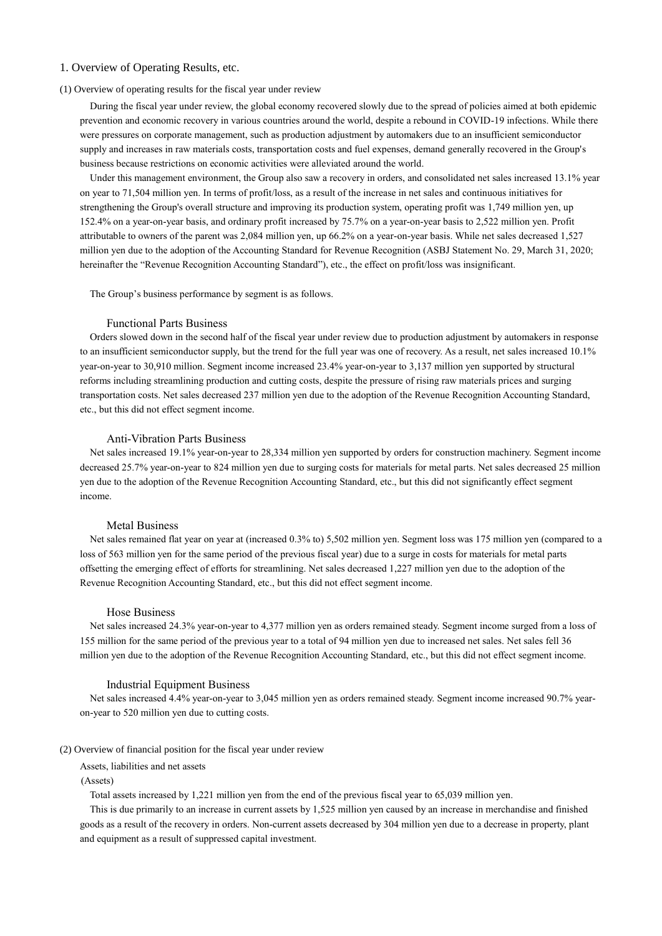# 1. Overview of Operating Results, etc.

#### (1) Overview of operating results for the fiscal year under review

During the fiscal year under review, the global economy recovered slowly due to the spread of policies aimed at both epidemic prevention and economic recovery in various countries around the world, despite a rebound in COVID-19 infections. While there were pressures on corporate management, such as production adjustment by automakers due to an insufficient semiconductor supply and increases in raw materials costs, transportation costs and fuel expenses, demand generally recovered in the Group's business because restrictions on economic activities were alleviated around the world.

Under this management environment, the Group also saw a recovery in orders, and consolidated net sales increased 13.1% year on year to 71,504 million yen. In terms of profit/loss, as a result of the increase in net sales and continuous initiatives for strengthening the Group's overall structure and improving its production system, operating profit was 1,749 million yen, up 152.4% on a year-on-year basis, and ordinary profit increased by 75.7% on a year-on-year basis to 2,522 million yen. Profit attributable to owners of the parent was 2,084 million yen, up 66.2% on a year-on-year basis. While net sales decreased 1,527 million yen due to the adoption of the Accounting Standard for Revenue Recognition (ASBJ Statement No. 29, March 31, 2020; hereinafter the "Revenue Recognition Accounting Standard"), etc., the effect on profit/loss was insignificant.

The Group's business performance by segment is as follows.

### Functional Parts Business

Orders slowed down in the second half of the fiscal year under review due to production adjustment by automakers in response to an insufficient semiconductor supply, but the trend for the full year was one of recovery. As a result, net sales increased 10.1% year-on-year to 30,910 million. Segment income increased 23.4% year-on-year to 3,137 million yen supported by structural reforms including streamlining production and cutting costs, despite the pressure of rising raw materials prices and surging transportation costs. Net sales decreased 237 million yen due to the adoption of the Revenue Recognition Accounting Standard, etc., but this did not effect segment income.

#### Anti-Vibration Parts Business

Net sales increased 19.1% year-on-year to 28,334 million yen supported by orders for construction machinery. Segment income decreased 25.7% year-on-year to 824 million yen due to surging costs for materials for metal parts. Net sales decreased 25 million yen due to the adoption of the Revenue Recognition Accounting Standard, etc., but this did not significantly effect segment income.

## Metal Business

Net sales remained flat year on year at (increased 0.3% to) 5,502 million yen. Segment loss was 175 million yen (compared to a loss of 563 million yen for the same period of the previous fiscal year) due to a surge in costs for materials for metal parts offsetting the emerging effect of efforts for streamlining. Net sales decreased 1,227 million yen due to the adoption of the Revenue Recognition Accounting Standard, etc., but this did not effect segment income.

## Hose Business

Net sales increased 24.3% year-on-year to 4,377 million yen as orders remained steady. Segment income surged from a loss of 155 million for the same period of the previous year to a total of 94 million yen due to increased net sales. Net sales fell 36 million yen due to the adoption of the Revenue Recognition Accounting Standard, etc., but this did not effect segment income.

#### Industrial Equipment Business

Net sales increased 4.4% year-on-year to 3,045 million yen as orders remained steady. Segment income increased 90.7% yearon-year to 520 million yen due to cutting costs.

## (2) Overview of financial position for the fiscal year under review

Assets, liabilities and net assets

## (Assets)

Total assets increased by 1,221 million yen from the end of the previous fiscal year to 65,039 million yen.

This is due primarily to an increase in current assets by 1,525 million yen caused by an increase in merchandise and finished goods as a result of the recovery in orders. Non-current assets decreased by 304 million yen due to a decrease in property, plant and equipment as a result of suppressed capital investment.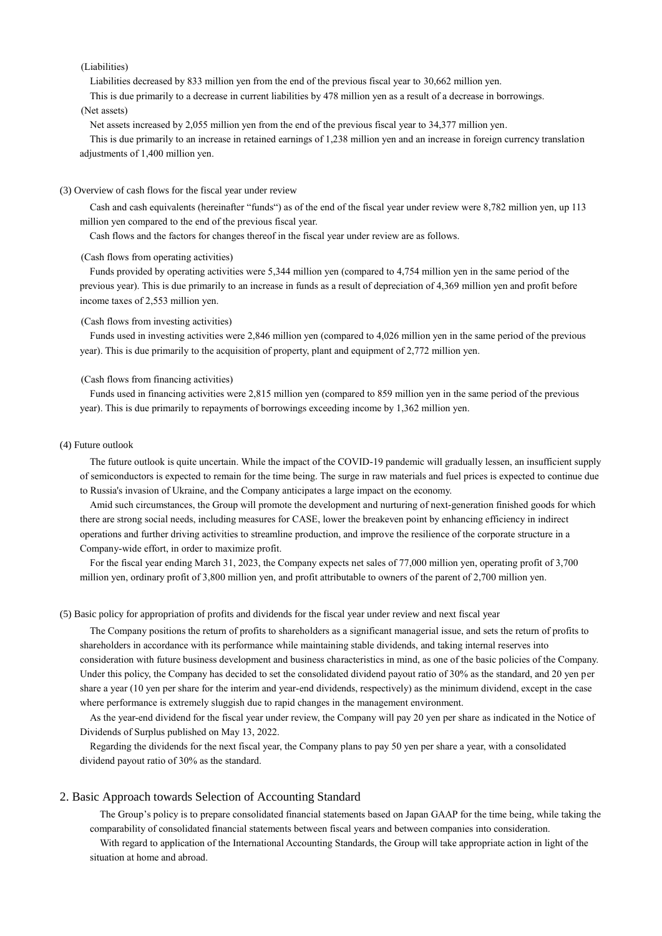## (Liabilities)

Liabilities decreased by 833 million yen from the end of the previous fiscal year to 30,662 million yen.

This is due primarily to a decrease in current liabilities by 478 million yen as a result of a decrease in borrowings.

## (Net assets)

Net assets increased by 2,055 million yen from the end of the previous fiscal year to 34,377 million yen.

This is due primarily to an increase in retained earnings of 1,238 million yen and an increase in foreign currency translation adjustments of 1,400 million yen.

### (3) Overview of cash flows for the fiscal year under review

Cash and cash equivalents (hereinafter "funds") as of the end of the fiscal year under review were 8,782 million yen, up 113 million yen compared to the end of the previous fiscal year.

Cash flows and the factors for changes thereof in the fiscal year under review are as follows.

#### (Cash flows from operating activities)

Funds provided by operating activities were 5,344 million yen (compared to 4,754 million yen in the same period of the previous year). This is due primarily to an increase in funds as a result of depreciation of 4,369 million yen and profit before income taxes of 2,553 million yen.

## (Cash flows from investing activities)

Funds used in investing activities were 2,846 million yen (compared to 4,026 million yen in the same period of the previous year). This is due primarily to the acquisition of property, plant and equipment of 2,772 million yen.

#### (Cash flows from financing activities)

Funds used in financing activities were 2,815 million yen (compared to 859 million yen in the same period of the previous year). This is due primarily to repayments of borrowings exceeding income by 1,362 million yen.

#### (4) Future outlook

The future outlook is quite uncertain. While the impact of the COVID-19 pandemic will gradually lessen, an insufficient supply of semiconductors is expected to remain for the time being. The surge in raw materials and fuel prices is expected to continue due to Russia's invasion of Ukraine, and the Company anticipates a large impact on the economy.

Amid such circumstances, the Group will promote the development and nurturing of next-generation finished goods for which there are strong social needs, including measures for CASE, lower the breakeven point by enhancing efficiency in indirect operations and further driving activities to streamline production, and improve the resilience of the corporate structure in a Company-wide effort, in order to maximize profit.

For the fiscal year ending March 31, 2023, the Company expects net sales of 77,000 million yen, operating profit of 3,700 million yen, ordinary profit of 3,800 million yen, and profit attributable to owners of the parent of 2,700 million yen.

## (5) Basic policy for appropriation of profits and dividends for the fiscal year under review and next fiscal year

The Company positions the return of profits to shareholders as a significant managerial issue, and sets the return of profits to shareholders in accordance with its performance while maintaining stable dividends, and taking internal reserves into consideration with future business development and business characteristics in mind, as one of the basic policies of the Company. Under this policy, the Company has decided to set the consolidated dividend payout ratio of 30% as the standard, and 20 yen per share a year (10 yen per share for the interim and year-end dividends, respectively) as the minimum dividend, except in the case where performance is extremely sluggish due to rapid changes in the management environment.

As the year-end dividend for the fiscal year under review, the Company will pay 20 yen per share as indicated in the Notice of Dividends of Surplus published on May 13, 2022.

Regarding the dividends for the next fiscal year, the Company plans to pay 50 yen per share a year, with a consolidated dividend payout ratio of 30% as the standard.

### 2. Basic Approach towards Selection of Accounting Standard

The Group's policy is to prepare consolidated financial statements based on Japan GAAP for the time being, while taking the comparability of consolidated financial statements between fiscal years and between companies into consideration.

With regard to application of the International Accounting Standards, the Group will take appropriate action in light of the situation at home and abroad.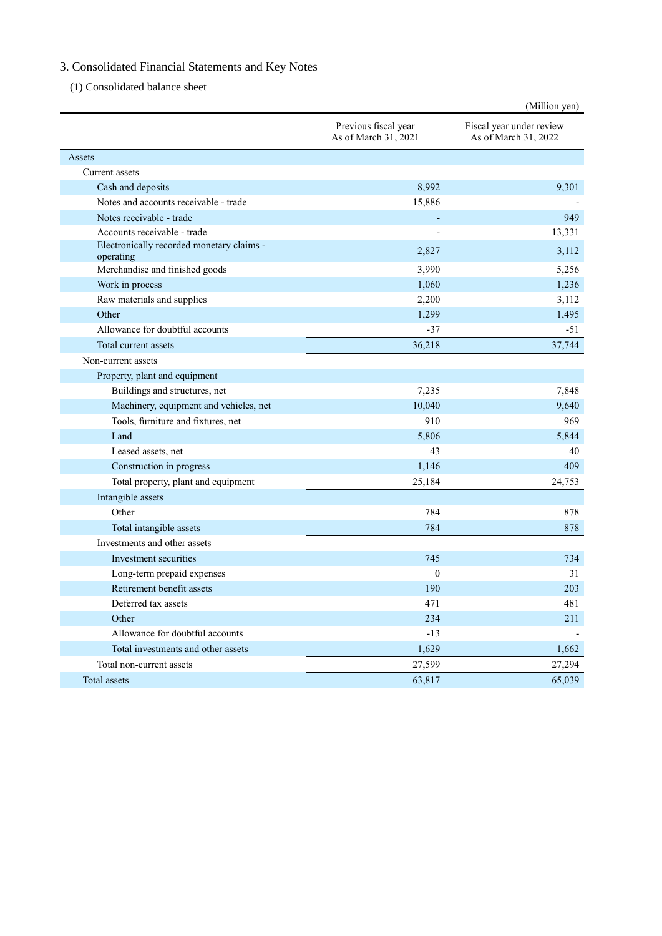# 3. Consolidated Financial Statements and Key Notes

(1) Consolidated balance sheet

|                                                        |                                              | (Million yen)                                    |
|--------------------------------------------------------|----------------------------------------------|--------------------------------------------------|
|                                                        | Previous fiscal year<br>As of March 31, 2021 | Fiscal year under review<br>As of March 31, 2022 |
| Assets                                                 |                                              |                                                  |
| Current assets                                         |                                              |                                                  |
| Cash and deposits                                      | 8,992                                        | 9,301                                            |
| Notes and accounts receivable - trade                  | 15,886                                       |                                                  |
| Notes receivable - trade                               |                                              | 949                                              |
| Accounts receivable - trade                            |                                              | 13,331                                           |
| Electronically recorded monetary claims -<br>operating | 2,827                                        | 3,112                                            |
| Merchandise and finished goods                         | 3,990                                        | 5,256                                            |
| Work in process                                        | 1,060                                        | 1,236                                            |
| Raw materials and supplies                             | 2,200                                        | 3,112                                            |
| Other                                                  | 1,299                                        | 1,495                                            |
| Allowance for doubtful accounts                        | $-37$                                        | $-51$                                            |
| Total current assets                                   | 36,218                                       | 37,744                                           |
| Non-current assets                                     |                                              |                                                  |
| Property, plant and equipment                          |                                              |                                                  |
| Buildings and structures, net                          | 7,235                                        | 7,848                                            |
| Machinery, equipment and vehicles, net                 | 10,040                                       | 9,640                                            |
| Tools, furniture and fixtures, net                     | 910                                          | 969                                              |
| Land                                                   | 5,806                                        | 5,844                                            |
| Leased assets, net                                     | 43                                           | 40                                               |
| Construction in progress                               | 1,146                                        | 409                                              |
| Total property, plant and equipment                    | 25,184                                       | 24,753                                           |
| Intangible assets                                      |                                              |                                                  |
| Other                                                  | 784                                          | 878                                              |
| Total intangible assets                                | 784                                          | 878                                              |
| Investments and other assets                           |                                              |                                                  |
| Investment securities                                  | 745                                          | 734                                              |
| Long-term prepaid expenses                             | $\mathbf{0}$                                 | 31                                               |
| Retirement benefit assets                              | 190                                          | 203                                              |
| Deferred tax assets                                    | 471                                          | 481                                              |
| Other                                                  | 234                                          | 211                                              |
| Allowance for doubtful accounts                        | $-13$                                        |                                                  |
| Total investments and other assets                     | 1,629                                        | 1,662                                            |
| Total non-current assets                               | 27,599                                       | 27,294                                           |
| Total assets                                           | 63,817                                       | 65,039                                           |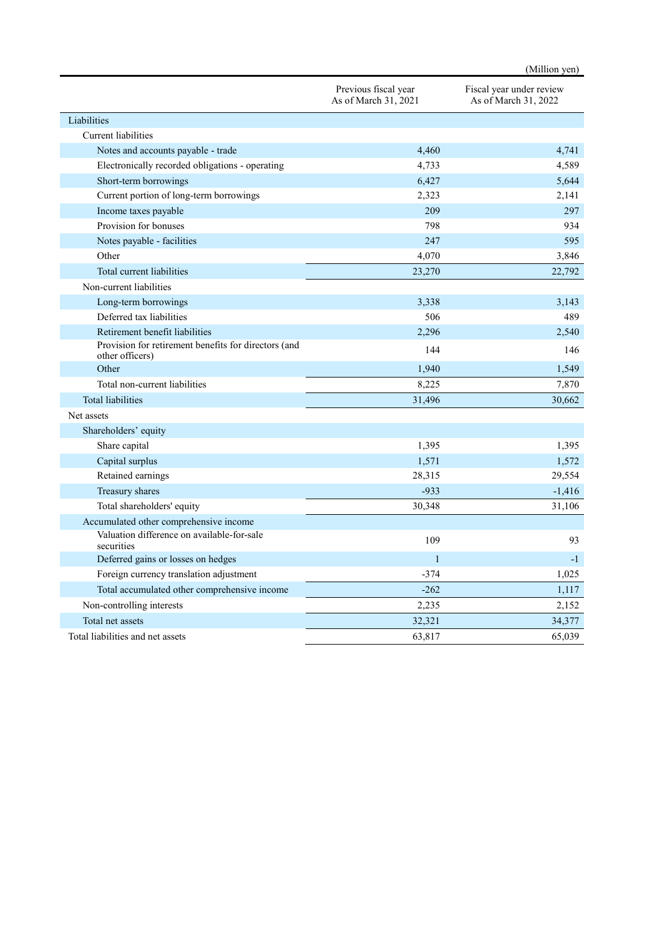|                                                                         |                                              | (Million yen)                                    |
|-------------------------------------------------------------------------|----------------------------------------------|--------------------------------------------------|
|                                                                         | Previous fiscal year<br>As of March 31, 2021 | Fiscal year under review<br>As of March 31, 2022 |
| Liabilities                                                             |                                              |                                                  |
| <b>Current</b> liabilities                                              |                                              |                                                  |
| Notes and accounts payable - trade                                      | 4,460                                        | 4,741                                            |
| Electronically recorded obligations - operating                         | 4,733                                        | 4,589                                            |
| Short-term borrowings                                                   | 6,427                                        | 5,644                                            |
| Current portion of long-term borrowings                                 | 2,323                                        | 2,141                                            |
| Income taxes payable                                                    | 209                                          | 297                                              |
| Provision for bonuses                                                   | 798                                          | 934                                              |
| Notes payable - facilities                                              | 247                                          | 595                                              |
| Other                                                                   | 4,070                                        | 3,846                                            |
| Total current liabilities                                               | 23,270                                       | 22,792                                           |
| Non-current liabilities                                                 |                                              |                                                  |
| Long-term borrowings                                                    | 3,338                                        | 3,143                                            |
| Deferred tax liabilities                                                | 506                                          | 489                                              |
| Retirement benefit liabilities                                          | 2,296                                        | 2,540                                            |
| Provision for retirement benefits for directors (and<br>other officers) | 144                                          | 146                                              |
| Other                                                                   | 1,940                                        | 1,549                                            |
| Total non-current liabilities                                           | 8,225                                        | 7,870                                            |
| <b>Total liabilities</b>                                                | 31,496                                       | 30,662                                           |
| Net assets                                                              |                                              |                                                  |
| Shareholders' equity                                                    |                                              |                                                  |
| Share capital                                                           | 1,395                                        | 1,395                                            |
| Capital surplus                                                         | 1,571                                        | 1,572                                            |
| Retained earnings                                                       | 28,315                                       | 29,554                                           |
| Treasury shares                                                         | $-933$                                       | $-1,416$                                         |
| Total shareholders' equity                                              | 30,348                                       | 31,106                                           |
| Accumulated other comprehensive income                                  |                                              |                                                  |
| Valuation difference on available-for-sale<br>securities                | 109                                          | 93                                               |
| Deferred gains or losses on hedges                                      | 1                                            | $-1$                                             |
| Foreign currency translation adjustment                                 | $-374$                                       | 1,025                                            |
| Total accumulated other comprehensive income                            | $-262$                                       | 1,117                                            |
| Non-controlling interests                                               | 2,235                                        | 2,152                                            |
| Total net assets                                                        | 32,321                                       | 34,377                                           |
| Total liabilities and net assets                                        | 63,817                                       | 65,039                                           |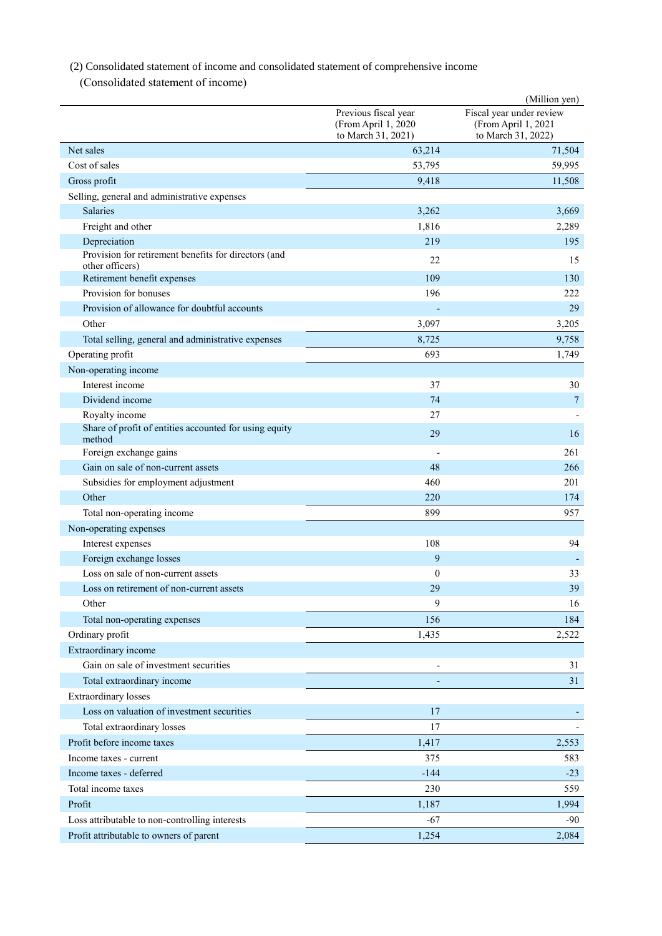(2) Consolidated statement of income and consolidated statement of comprehensive income

(Consolidated statement of income)

|                                                                         |                                                                   | (Million yen)                                                         |
|-------------------------------------------------------------------------|-------------------------------------------------------------------|-----------------------------------------------------------------------|
|                                                                         | Previous fiscal year<br>(From April 1, 2020<br>to March 31, 2021) | Fiscal year under review<br>(From April 1, 2021<br>to March 31, 2022) |
| Net sales                                                               | 63,214                                                            | 71,504                                                                |
| Cost of sales                                                           | 53,795                                                            | 59,995                                                                |
| Gross profit                                                            | 9,418                                                             | 11,508                                                                |
| Selling, general and administrative expenses                            |                                                                   |                                                                       |
| <b>Salaries</b>                                                         | 3,262                                                             | 3,669                                                                 |
| Freight and other                                                       | 1,816                                                             | 2,289                                                                 |
| Depreciation                                                            | 219                                                               | 195                                                                   |
| Provision for retirement benefits for directors (and<br>other officers) | 22                                                                | 15                                                                    |
| Retirement benefit expenses                                             | 109                                                               | 130                                                                   |
| Provision for bonuses                                                   | 196                                                               | 222                                                                   |
| Provision of allowance for doubtful accounts                            |                                                                   | 29                                                                    |
| Other                                                                   | 3,097                                                             | 3,205                                                                 |
| Total selling, general and administrative expenses                      | 8,725                                                             | 9,758                                                                 |
| Operating profit                                                        | 693                                                               | 1,749                                                                 |
| Non-operating income                                                    |                                                                   |                                                                       |
| Interest income                                                         | 37                                                                | 30                                                                    |
| Dividend income                                                         | 74                                                                | $\overline{7}$                                                        |
| Royalty income                                                          | 27                                                                |                                                                       |
| Share of profit of entities accounted for using equity                  |                                                                   |                                                                       |
| method                                                                  | 29                                                                | 16                                                                    |
| Foreign exchange gains                                                  |                                                                   | 261                                                                   |
| Gain on sale of non-current assets                                      | 48                                                                | 266                                                                   |
| Subsidies for employment adjustment                                     | 460                                                               | 201                                                                   |
| Other                                                                   | 220                                                               | 174                                                                   |
| Total non-operating income                                              | 899                                                               | 957                                                                   |
| Non-operating expenses                                                  |                                                                   |                                                                       |
| Interest expenses                                                       | 108                                                               | 94                                                                    |
| Foreign exchange losses                                                 | 9                                                                 |                                                                       |
| Loss on sale of non-current assets                                      | $\mathbf{0}$                                                      | 33                                                                    |
| Loss on retirement of non-current assets                                | 29                                                                | 39                                                                    |
| Other                                                                   | 9                                                                 | 16                                                                    |
| Total non-operating expenses                                            | 156                                                               | 184                                                                   |
| Ordinary profit                                                         | 1,435                                                             | 2,522                                                                 |
| Extraordinary income                                                    |                                                                   |                                                                       |
| Gain on sale of investment securities                                   |                                                                   | 31                                                                    |
| Total extraordinary income                                              |                                                                   | 31                                                                    |
| <b>Extraordinary</b> losses                                             |                                                                   |                                                                       |
| Loss on valuation of investment securities                              | 17                                                                |                                                                       |
| Total extraordinary losses                                              | 17                                                                |                                                                       |
| Profit before income taxes                                              | 1,417                                                             | 2,553                                                                 |
| Income taxes - current                                                  | 375                                                               | 583                                                                   |
| Income taxes - deferred                                                 | $-144$                                                            | $-23$                                                                 |
| Total income taxes                                                      | 230                                                               | 559                                                                   |
| Profit                                                                  | 1,187                                                             | 1,994                                                                 |
| Loss attributable to non-controlling interests                          | $-67$                                                             | $-90$                                                                 |
| Profit attributable to owners of parent                                 | 1,254                                                             | 2,084                                                                 |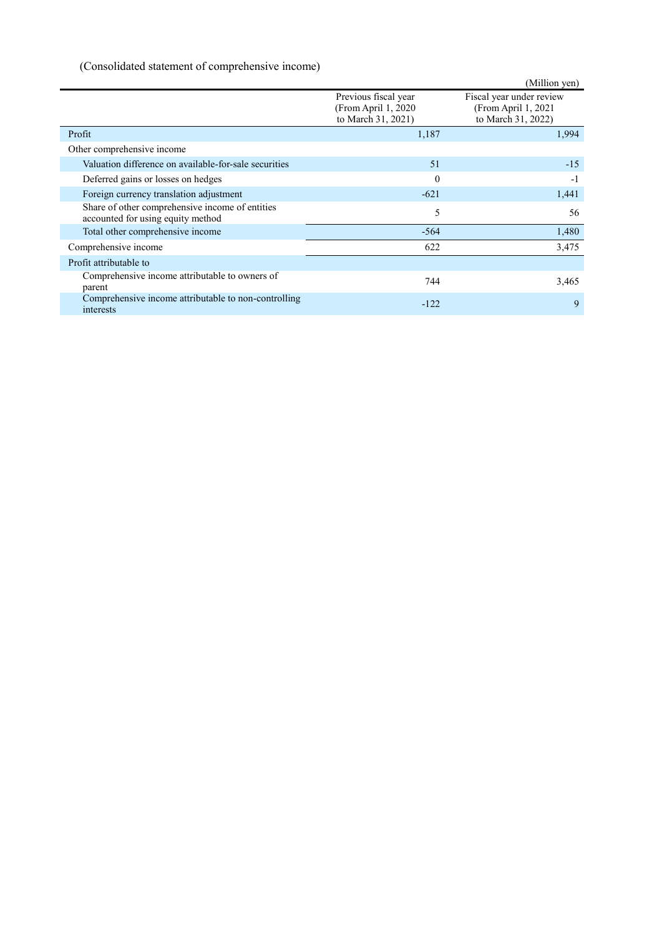# (Consolidated statement of comprehensive income)

|                                                                                      |                                                                   | (Million yen)                                                          |
|--------------------------------------------------------------------------------------|-------------------------------------------------------------------|------------------------------------------------------------------------|
|                                                                                      | Previous fiscal year<br>(From April 1, 2020<br>to March 31, 2021) | Fiscal year under review<br>(From April 1, 2021)<br>to March 31, 2022) |
| Profit                                                                               | 1,187                                                             | 1,994                                                                  |
| Other comprehensive income                                                           |                                                                   |                                                                        |
| Valuation difference on available-for-sale securities                                | 51                                                                | $-15$                                                                  |
| Deferred gains or losses on hedges                                                   | $\theta$                                                          | $-1$                                                                   |
| Foreign currency translation adjustment                                              | $-621$                                                            | 1,441                                                                  |
| Share of other comprehensive income of entities<br>accounted for using equity method | 5                                                                 | 56                                                                     |
| Total other comprehensive income                                                     | $-564$                                                            | 1,480                                                                  |
| Comprehensive income                                                                 | 622                                                               | 3,475                                                                  |
| Profit attributable to                                                               |                                                                   |                                                                        |
| Comprehensive income attributable to owners of<br>parent                             | 744                                                               | 3,465                                                                  |
| Comprehensive income attributable to non-controlling<br>interests                    | $-122$                                                            | 9                                                                      |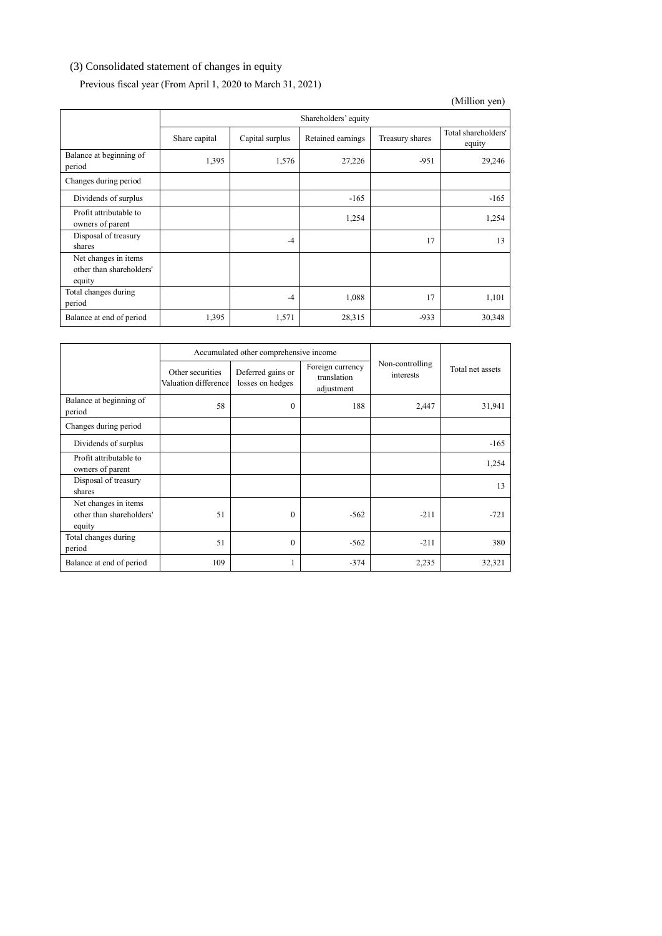# (3) Consolidated statement of changes in equity

# Previous fiscal year (From April 1, 2020 to March 31, 2021)

|                                                            |               |                 |                      |                 | (Million yen)                 |
|------------------------------------------------------------|---------------|-----------------|----------------------|-----------------|-------------------------------|
|                                                            |               |                 | Shareholders' equity |                 |                               |
|                                                            | Share capital | Capital surplus | Retained earnings    | Treasury shares | Total shareholders'<br>equity |
| Balance at beginning of<br>period                          | 1,395         | 1,576           | 27,226               | $-951$          | 29,246                        |
| Changes during period                                      |               |                 |                      |                 |                               |
| Dividends of surplus                                       |               |                 | $-165$               |                 | $-165$                        |
| Profit attributable to<br>owners of parent                 |               |                 | 1,254                |                 | 1,254                         |
| Disposal of treasury<br>shares                             |               | $-4$            |                      | 17              | 13                            |
| Net changes in items<br>other than shareholders'<br>equity |               |                 |                      |                 |                               |
| Total changes during<br>period                             |               | $-4$            | 1,088                | 17              | 1,101                         |
| Balance at end of period                                   | 1,395         | 1,571           | 28,315               | $-933$          | 30,348                        |

|                                                            |                                          | Accumulated other comprehensive income |                                               |                              |                  |  |
|------------------------------------------------------------|------------------------------------------|----------------------------------------|-----------------------------------------------|------------------------------|------------------|--|
|                                                            | Other securities<br>Valuation difference | Deferred gains or<br>losses on hedges  | Foreign currency<br>translation<br>adjustment | Non-controlling<br>interests | Total net assets |  |
| Balance at beginning of<br>period                          | 58                                       | $\Omega$                               | 188                                           | 2,447                        | 31,941           |  |
| Changes during period                                      |                                          |                                        |                                               |                              |                  |  |
| Dividends of surplus                                       |                                          |                                        |                                               |                              | $-165$           |  |
| Profit attributable to<br>owners of parent                 |                                          |                                        |                                               |                              | 1,254            |  |
| Disposal of treasury<br>shares                             |                                          |                                        |                                               |                              | 13               |  |
| Net changes in items<br>other than shareholders'<br>equity | 51                                       | $\Omega$                               | $-562$                                        | $-211$                       | $-721$           |  |
| Total changes during<br>period                             | 51                                       | $\theta$                               | $-562$                                        | $-211$                       | 380              |  |
| Balance at end of period                                   | 109                                      |                                        | $-374$                                        | 2,235                        | 32,321           |  |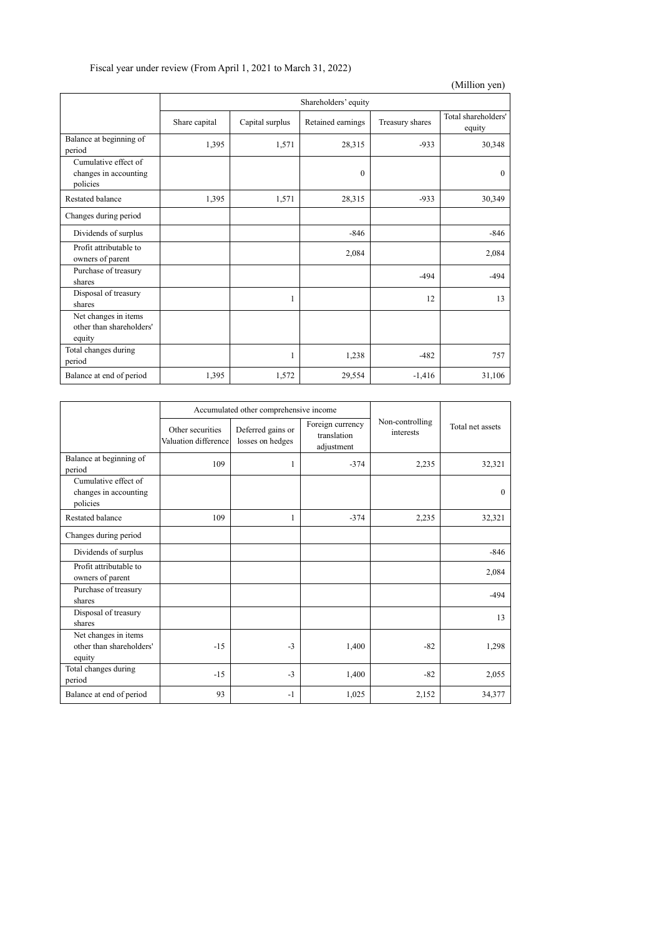|  |  | Fiscal year under review (From April 1, 2021 to March 31, 2022) |
|--|--|-----------------------------------------------------------------|
|--|--|-----------------------------------------------------------------|

|                                                            |               |                 |                      |                 | (Million yen)                 |
|------------------------------------------------------------|---------------|-----------------|----------------------|-----------------|-------------------------------|
|                                                            |               |                 | Shareholders' equity |                 |                               |
|                                                            | Share capital | Capital surplus | Retained earnings    | Treasury shares | Total shareholders'<br>equity |
| Balance at beginning of<br>period                          | 1,395         | 1,571           | 28,315               | $-933$          | 30,348                        |
| Cumulative effect of<br>changes in accounting<br>policies  |               |                 | $\mathbf{0}$         |                 | $\theta$                      |
| Restated balance                                           | 1,395         | 1,571           | 28,315               | $-933$          | 30,349                        |
| Changes during period                                      |               |                 |                      |                 |                               |
| Dividends of surplus                                       |               |                 | $-846$               |                 | $-846$                        |
| Profit attributable to<br>owners of parent                 |               |                 | 2,084                |                 | 2,084                         |
| Purchase of treasury<br>shares                             |               |                 |                      | $-494$          | $-494$                        |
| Disposal of treasury<br>shares                             |               | 1               |                      | 12              | 13                            |
| Net changes in items<br>other than shareholders'<br>equity |               |                 |                      |                 |                               |
| Total changes during<br>period                             |               | 1               | 1,238                | $-482$          | 757                           |
| Balance at end of period                                   | 1,395         | 1,572           | 29,554               | $-1,416$        | 31,106                        |

|                                                            | Accumulated other comprehensive income   |                                       |                                               |                              |                  |
|------------------------------------------------------------|------------------------------------------|---------------------------------------|-----------------------------------------------|------------------------------|------------------|
|                                                            | Other securities<br>Valuation difference | Deferred gains or<br>losses on hedges | Foreign currency<br>translation<br>adjustment | Non-controlling<br>interests | Total net assets |
| Balance at beginning of<br>period                          | 109                                      | 1                                     | $-374$                                        | 2,235                        | 32,321           |
| Cumulative effect of<br>changes in accounting<br>policies  |                                          |                                       |                                               |                              | $\theta$         |
| <b>Restated balance</b>                                    | 109                                      | 1                                     | $-374$                                        | 2,235                        | 32,321           |
| Changes during period                                      |                                          |                                       |                                               |                              |                  |
| Dividends of surplus                                       |                                          |                                       |                                               |                              | $-846$           |
| Profit attributable to<br>owners of parent                 |                                          |                                       |                                               |                              | 2,084            |
| Purchase of treasury<br>shares                             |                                          |                                       |                                               |                              | $-494$           |
| Disposal of treasury<br>shares                             |                                          |                                       |                                               |                              | 13               |
| Net changes in items<br>other than shareholders'<br>equity | $-15$                                    | $-3$                                  | 1,400                                         | $-82$                        | 1,298            |
| Total changes during<br>period                             | $-15$                                    | $-3$                                  | 1,400                                         | $-82$                        | 2,055            |
| Balance at end of period                                   | 93                                       | $-1$                                  | 1,025                                         | 2,152                        | 34,377           |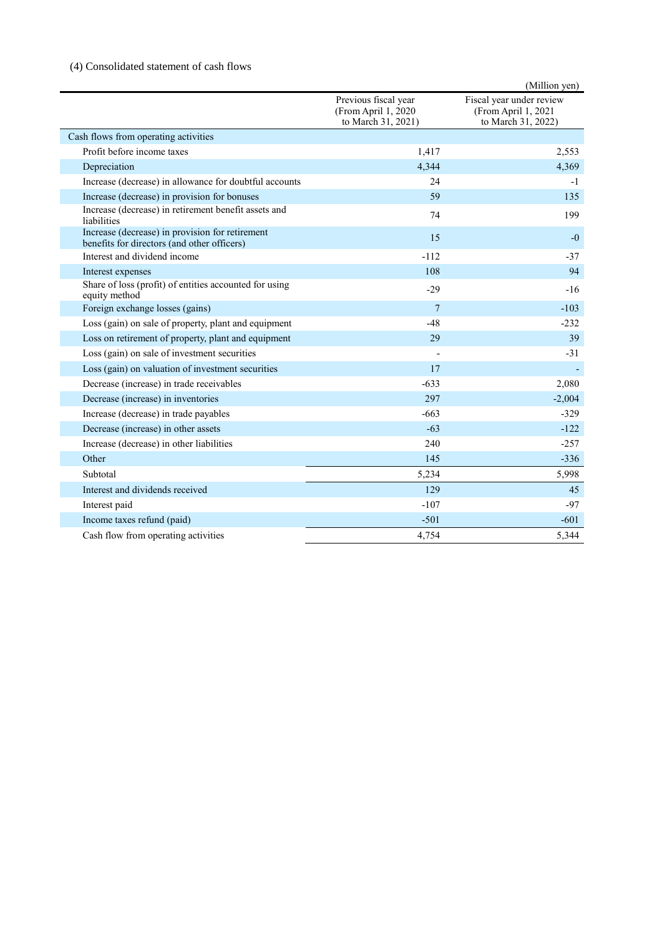# (4) Consolidated statement of cash flows

|                                                                                                |                                                                   | (Million yen)                                                         |
|------------------------------------------------------------------------------------------------|-------------------------------------------------------------------|-----------------------------------------------------------------------|
|                                                                                                | Previous fiscal year<br>(From April 1, 2020<br>to March 31, 2021) | Fiscal year under review<br>(From April 1, 2021<br>to March 31, 2022) |
| Cash flows from operating activities                                                           |                                                                   |                                                                       |
| Profit before income taxes                                                                     | 1,417                                                             | 2.553                                                                 |
| Depreciation                                                                                   | 4,344                                                             | 4,369                                                                 |
| Increase (decrease) in allowance for doubtful accounts                                         | 24                                                                | -1                                                                    |
| Increase (decrease) in provision for bonuses                                                   | 59                                                                | 135                                                                   |
| Increase (decrease) in retirement benefit assets and<br>liabilities                            | 74                                                                | 199                                                                   |
| Increase (decrease) in provision for retirement<br>benefits for directors (and other officers) | 15                                                                | $-0$                                                                  |
| Interest and dividend income                                                                   | $-112$                                                            | $-37$                                                                 |
| Interest expenses                                                                              | 108                                                               | 94                                                                    |
| Share of loss (profit) of entities accounted for using<br>equity method                        | $-29$                                                             | $-16$                                                                 |
| Foreign exchange losses (gains)                                                                | $7\overline{ }$                                                   | $-103$                                                                |
| Loss (gain) on sale of property, plant and equipment                                           | $-48$                                                             | $-232$                                                                |
| Loss on retirement of property, plant and equipment                                            | 29                                                                | 39                                                                    |
| Loss (gain) on sale of investment securities                                                   |                                                                   | $-31$                                                                 |
| Loss (gain) on valuation of investment securities                                              | 17                                                                |                                                                       |
| Decrease (increase) in trade receivables                                                       | $-633$                                                            | 2,080                                                                 |
| Decrease (increase) in inventories                                                             | 297                                                               | $-2,004$                                                              |
| Increase (decrease) in trade payables                                                          | $-663$                                                            | $-329$                                                                |
| Decrease (increase) in other assets                                                            | $-63$                                                             | $-122$                                                                |
| Increase (decrease) in other liabilities                                                       | 240                                                               | $-257$                                                                |
| Other                                                                                          | 145                                                               | $-336$                                                                |
| Subtotal                                                                                       | 5,234                                                             | 5,998                                                                 |
| Interest and dividends received                                                                | 129                                                               | 45                                                                    |
| Interest paid                                                                                  | $-107$                                                            | $-97$                                                                 |
| Income taxes refund (paid)                                                                     | $-501$                                                            | $-601$                                                                |
| Cash flow from operating activities                                                            | 4,754                                                             | 5,344                                                                 |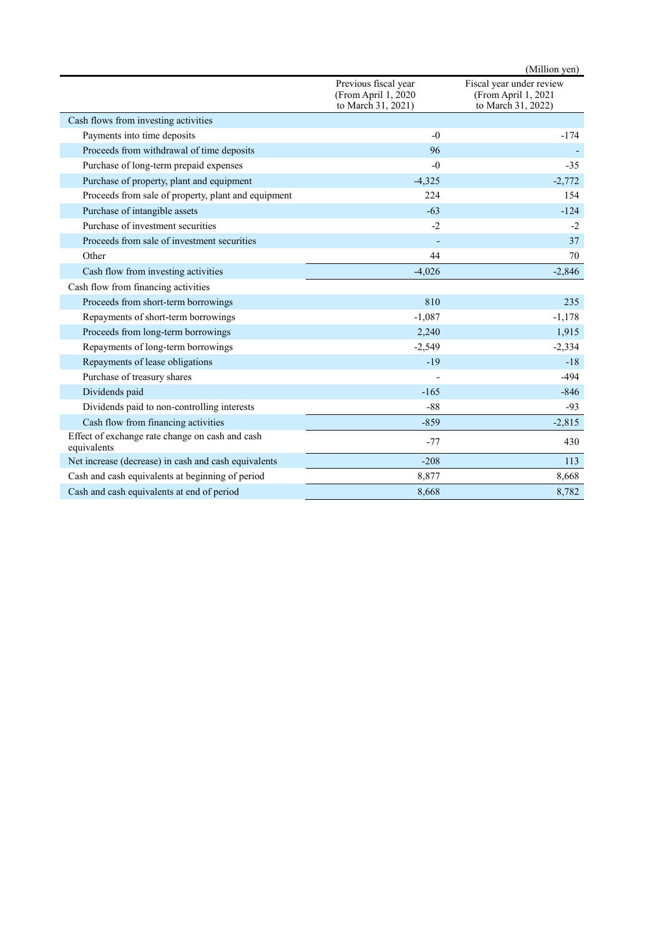|                                                                |                                                                    | (Million yen)                                                         |
|----------------------------------------------------------------|--------------------------------------------------------------------|-----------------------------------------------------------------------|
|                                                                | Previous fiscal year<br>(From April 1, 2020)<br>to March 31, 2021) | Fiscal year under review<br>(From April 1, 2021<br>to March 31, 2022) |
| Cash flows from investing activities                           |                                                                    |                                                                       |
| Payments into time deposits                                    | $-0$                                                               | $-174$                                                                |
| Proceeds from withdrawal of time deposits                      | 96                                                                 |                                                                       |
| Purchase of long-term prepaid expenses                         | $-0$                                                               | $-35$                                                                 |
| Purchase of property, plant and equipment                      | $-4,325$                                                           | $-2,772$                                                              |
| Proceeds from sale of property, plant and equipment            | 224                                                                | 154                                                                   |
| Purchase of intangible assets                                  | $-63$                                                              | $-124$                                                                |
| Purchase of investment securities                              | $-2$                                                               | $-2$                                                                  |
| Proceeds from sale of investment securities                    |                                                                    | 37                                                                    |
| Other                                                          | 44                                                                 | 70                                                                    |
| Cash flow from investing activities                            | $-4,026$                                                           | $-2,846$                                                              |
| Cash flow from financing activities                            |                                                                    |                                                                       |
| Proceeds from short-term borrowings                            | 810                                                                | 235                                                                   |
| Repayments of short-term borrowings                            | $-1,087$                                                           | $-1,178$                                                              |
| Proceeds from long-term borrowings                             | 2,240                                                              | 1,915                                                                 |
| Repayments of long-term borrowings                             | $-2,549$                                                           | $-2,334$                                                              |
| Repayments of lease obligations                                | $-19$                                                              | $-18$                                                                 |
| Purchase of treasury shares                                    |                                                                    | $-494$                                                                |
| Dividends paid                                                 | $-165$                                                             | $-846$                                                                |
| Dividends paid to non-controlling interests                    | $-88$                                                              | $-93$                                                                 |
| Cash flow from financing activities                            | $-859$                                                             | $-2,815$                                                              |
| Effect of exchange rate change on cash and cash<br>equivalents | $-77$                                                              | 430                                                                   |
| Net increase (decrease) in cash and cash equivalents           | $-208$                                                             | 113                                                                   |
| Cash and cash equivalents at beginning of period               | 8,877                                                              | 8,668                                                                 |
| Cash and cash equivalents at end of period                     | 8,668                                                              | 8,782                                                                 |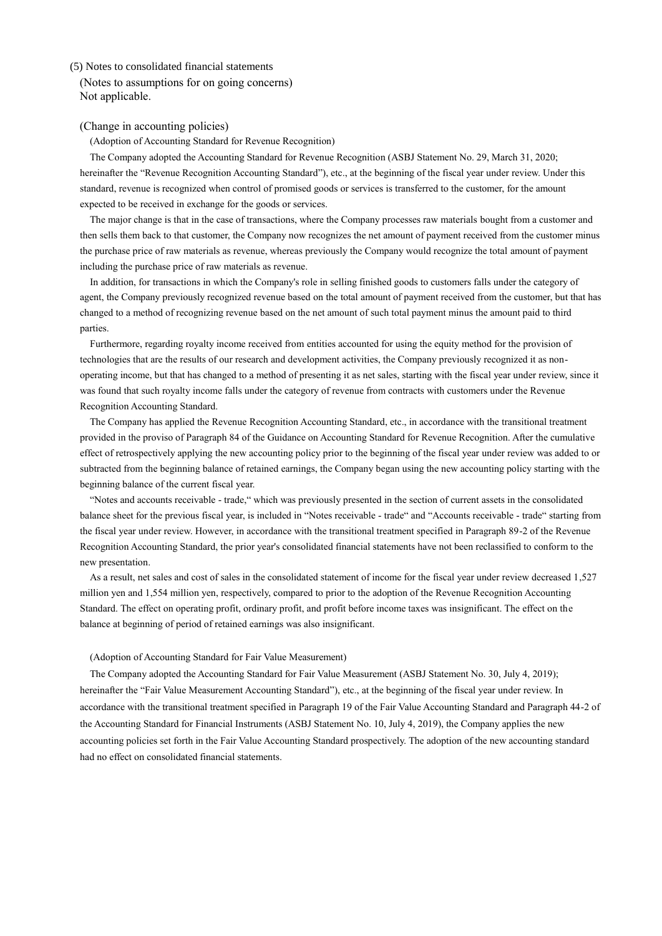# (5) Notes to consolidated financial statements

(Notes to assumptions for on going concerns) Not applicable.

# (Change in accounting policies)

(Adoption of Accounting Standard for Revenue Recognition)

The Company adopted the Accounting Standard for Revenue Recognition (ASBJ Statement No. 29, March 31, 2020; hereinafter the "Revenue Recognition Accounting Standard"), etc., at the beginning of the fiscal year under review. Under this standard, revenue is recognized when control of promised goods or services is transferred to the customer, for the amount expected to be received in exchange for the goods or services.

The major change is that in the case of transactions, where the Company processes raw materials bought from a customer and then sells them back to that customer, the Company now recognizes the net amount of payment received from the customer minus the purchase price of raw materials as revenue, whereas previously the Company would recognize the total amount of payment including the purchase price of raw materials as revenue.

In addition, for transactions in which the Company's role in selling finished goods to customers falls under the category of agent, the Company previously recognized revenue based on the total amount of payment received from the customer, but that has changed to a method of recognizing revenue based on the net amount of such total payment minus the amount paid to third parties.

Furthermore, regarding royalty income received from entities accounted for using the equity method for the provision of technologies that are the results of our research and development activities, the Company previously recognized it as nonoperating income, but that has changed to a method of presenting it as net sales, starting with the fiscal year under review, since it was found that such royalty income falls under the category of revenue from contracts with customers under the Revenue Recognition Accounting Standard.

The Company has applied the Revenue Recognition Accounting Standard, etc., in accordance with the transitional treatment provided in the proviso of Paragraph 84 of the Guidance on Accounting Standard for Revenue Recognition. After the cumulative effect of retrospectively applying the new accounting policy prior to the beginning of the fiscal year under review was added to or subtracted from the beginning balance of retained earnings, the Company began using the new accounting policy starting with the beginning balance of the current fiscal year.

"Notes and accounts receivable - trade," which was previously presented in the section of current assets in the consolidated balance sheet for the previous fiscal year, is included in "Notes receivable - trade" and "Accounts receivable - trade" starting from the fiscal year under review. However, in accordance with the transitional treatment specified in Paragraph 89-2 of the Revenue Recognition Accounting Standard, the prior year's consolidated financial statements have not been reclassified to conform to the new presentation.

As a result, net sales and cost of sales in the consolidated statement of income for the fiscal year under review decreased 1,527 million yen and 1,554 million yen, respectively, compared to prior to the adoption of the Revenue Recognition Accounting Standard. The effect on operating profit, ordinary profit, and profit before income taxes was insignificant. The effect on the balance at beginning of period of retained earnings was also insignificant.

#### (Adoption of Accounting Standard for Fair Value Measurement)

The Company adopted the Accounting Standard for Fair Value Measurement (ASBJ Statement No. 30, July 4, 2019); hereinafter the "Fair Value Measurement Accounting Standard"), etc., at the beginning of the fiscal year under review. In accordance with the transitional treatment specified in Paragraph 19 of the Fair Value Accounting Standard and Paragraph 44-2 of the Accounting Standard for Financial Instruments (ASBJ Statement No. 10, July 4, 2019), the Company applies the new accounting policies set forth in the Fair Value Accounting Standard prospectively. The adoption of the new accounting standard had no effect on consolidated financial statements.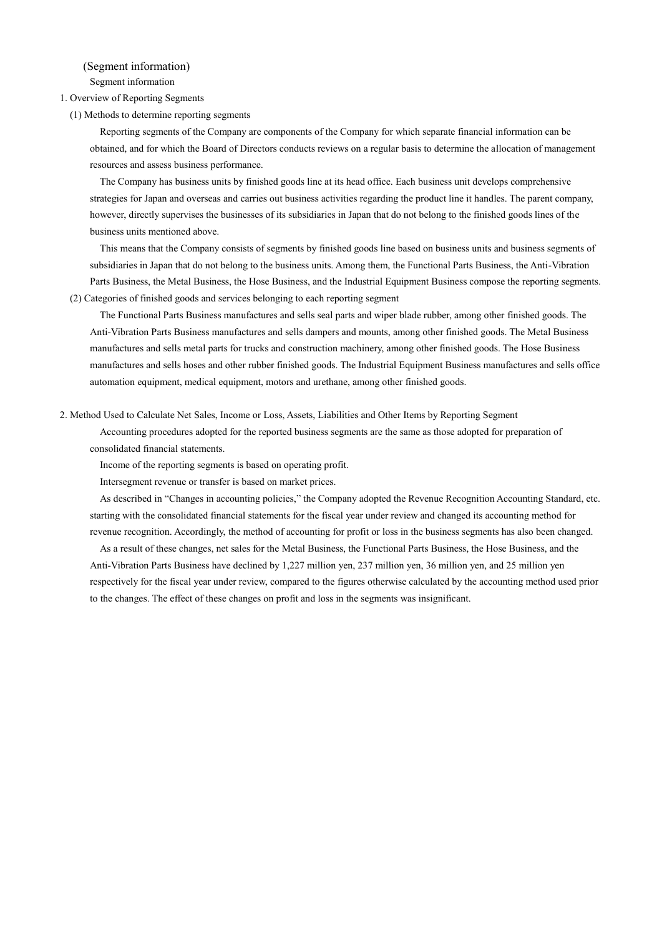(Segment information) Segment information

1. Overview of Reporting Segments

(1) Methods to determine reporting segments

Reporting segments of the Company are components of the Company for which separate financial information can be obtained, and for which the Board of Directors conducts reviews on a regular basis to determine the allocation of management resources and assess business performance.

The Company has business units by finished goods line at its head office. Each business unit develops comprehensive strategies for Japan and overseas and carries out business activities regarding the product line it handles. The parent company, however, directly supervises the businesses of its subsidiaries in Japan that do not belong to the finished goods lines of the business units mentioned above.

This means that the Company consists of segments by finished goods line based on business units and business segments of subsidiaries in Japan that do not belong to the business units. Among them, the Functional Parts Business, the Anti-Vibration Parts Business, the Metal Business, the Hose Business, and the Industrial Equipment Business compose the reporting segments. (2) Categories of finished goods and services belonging to each reporting segment

The Functional Parts Business manufactures and sells seal parts and wiper blade rubber, among other finished goods. The Anti-Vibration Parts Business manufactures and sells dampers and mounts, among other finished goods. The Metal Business manufactures and sells metal parts for trucks and construction machinery, among other finished goods. The Hose Business manufactures and sells hoses and other rubber finished goods. The Industrial Equipment Business manufactures and sells office automation equipment, medical equipment, motors and urethane, among other finished goods.

2. Method Used to Calculate Net Sales, Income or Loss, Assets, Liabilities and Other Items by Reporting Segment

Accounting procedures adopted for the reported business segments are the same as those adopted for preparation of consolidated financial statements.

Income of the reporting segments is based on operating profit.

Intersegment revenue or transfer is based on market prices.

As described in "Changes in accounting policies," the Company adopted the Revenue Recognition Accounting Standard, etc. starting with the consolidated financial statements for the fiscal year under review and changed its accounting method for revenue recognition. Accordingly, the method of accounting for profit or loss in the business segments has also been changed.

As a result of these changes, net sales for the Metal Business, the Functional Parts Business, the Hose Business, and the Anti-Vibration Parts Business have declined by 1,227 million yen, 237 million yen, 36 million yen, and 25 million yen respectively for the fiscal year under review, compared to the figures otherwise calculated by the accounting method used prior to the changes. The effect of these changes on profit and loss in the segments was insignificant.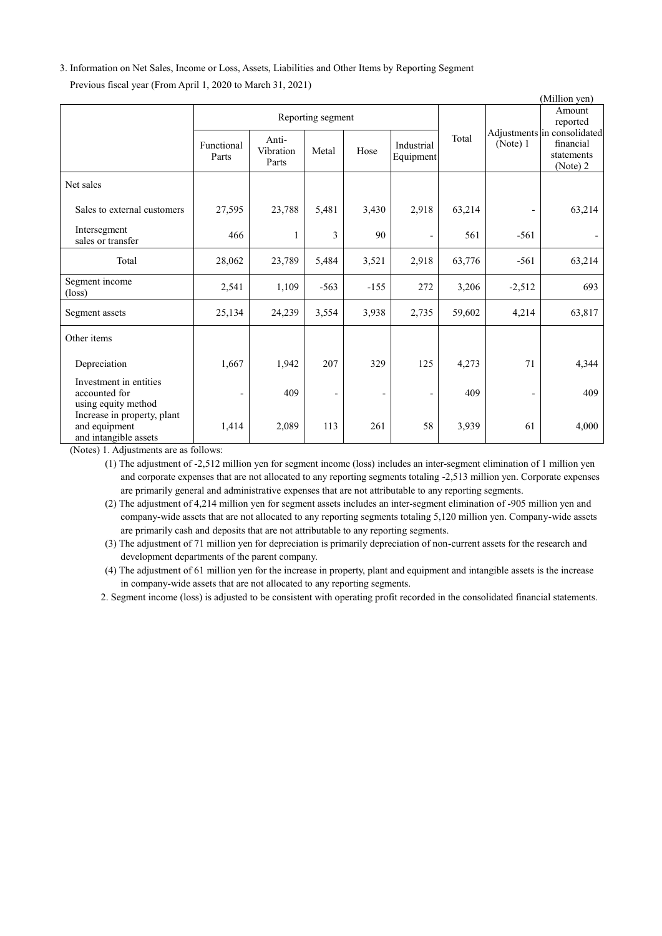# 3. Information on Net Sales, Income or Loss, Assets, Liabilities and Other Items by Reporting Segment Previous fiscal year (From April 1, 2020 to March 31, 2021)

|                                                                       |                     |                             |                          |                          |                          |        |                          | (Million yen)                                                      |  |
|-----------------------------------------------------------------------|---------------------|-----------------------------|--------------------------|--------------------------|--------------------------|--------|--------------------------|--------------------------------------------------------------------|--|
|                                                                       | Reporting segment   |                             |                          |                          |                          |        | Amount<br>reported       |                                                                    |  |
|                                                                       | Functional<br>Parts | Anti-<br>Vibration<br>Parts | Metal                    | Hose                     | Industrial<br>Equipment  | Total  | (Note) 1                 | Adjustments in consolidated<br>financial<br>statements<br>(Note) 2 |  |
| Net sales                                                             |                     |                             |                          |                          |                          |        |                          |                                                                    |  |
| Sales to external customers                                           | 27,595              | 23,788                      | 5,481                    | 3,430                    | 2,918                    | 63,214 |                          | 63,214                                                             |  |
| Intersegment<br>sales or transfer                                     | 466                 | 1                           | 3                        | 90                       |                          | 561    | $-561$                   |                                                                    |  |
| Total                                                                 | 28,062              | 23,789                      | 5,484                    | 3,521                    | 2,918                    | 63,776 | $-561$                   | 63,214                                                             |  |
| Segment income<br>$(\text{loss})$                                     | 2,541               | 1,109                       | $-563$                   | $-155$                   | 272                      | 3,206  | $-2,512$                 | 693                                                                |  |
| Segment assets                                                        | 25,134              | 24,239                      | 3,554                    | 3,938                    | 2,735                    | 59,602 | 4,214                    | 63,817                                                             |  |
| Other items                                                           |                     |                             |                          |                          |                          |        |                          |                                                                    |  |
| Depreciation                                                          | 1,667               | 1,942                       | 207                      | 329                      | 125                      | 4,273  | 71                       | 4,344                                                              |  |
| Investment in entities<br>accounted for<br>using equity method        |                     | 409                         | $\overline{\phantom{a}}$ | $\overline{\phantom{a}}$ | $\overline{\phantom{a}}$ | 409    | $\overline{\phantom{a}}$ | 409                                                                |  |
| Increase in property, plant<br>and equipment<br>and intangible assets | 1,414<br>0.11       | 2,089                       | 113                      | 261                      | 58                       | 3,939  | 61                       | 4,000                                                              |  |

(Notes) 1. Adjustments are as follows:

(1) The adjustment of -2,512 million yen for segment income (loss) includes an inter-segment elimination of 1 million yen and corporate expenses that are not allocated to any reporting segments totaling -2,513 million yen. Corporate expenses are primarily general and administrative expenses that are not attributable to any reporting segments.

(2) The adjustment of 4,214 million yen for segment assets includes an inter-segment elimination of -905 million yen and company-wide assets that are not allocated to any reporting segments totaling 5,120 million yen. Company-wide assets are primarily cash and deposits that are not attributable to any reporting segments.

(3) The adjustment of 71 million yen for depreciation is primarily depreciation of non-current assets for the research and development departments of the parent company.

(4) The adjustment of 61 million yen for the increase in property, plant and equipment and intangible assets is the increase in company-wide assets that are not allocated to any reporting segments.

2. Segment income (loss) is adjusted to be consistent with operating profit recorded in the consolidated financial statements.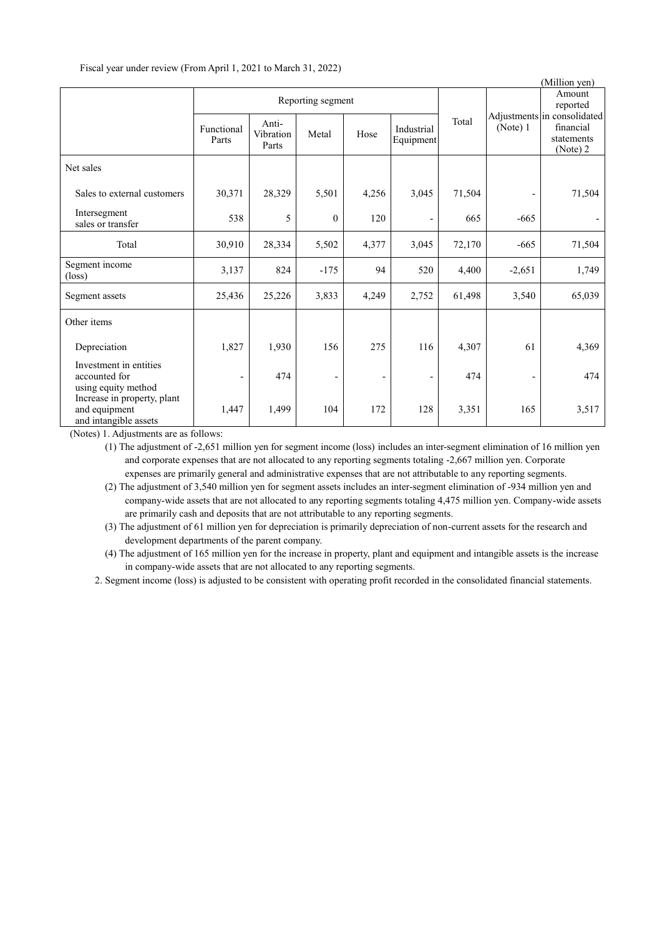| Fiscal year under review (From April 1, 2021 to March 31, 2022) |  |  |  |  |  |
|-----------------------------------------------------------------|--|--|--|--|--|
|-----------------------------------------------------------------|--|--|--|--|--|

|                                                                       |                     |                             |              |       |                         |        |                    | (Million yen)                                                      |  |
|-----------------------------------------------------------------------|---------------------|-----------------------------|--------------|-------|-------------------------|--------|--------------------|--------------------------------------------------------------------|--|
|                                                                       | Reporting segment   |                             |              |       |                         |        | Amount<br>reported |                                                                    |  |
|                                                                       | Functional<br>Parts | Anti-<br>Vibration<br>Parts | Metal        | Hose  | Industrial<br>Equipment | Total  | (Note) $1$         | Adjustments in consolidated<br>financial<br>statements<br>(Note) 2 |  |
| Net sales                                                             |                     |                             |              |       |                         |        |                    |                                                                    |  |
| Sales to external customers                                           | 30,371              | 28,329                      | 5,501        | 4,256 | 3,045                   | 71,504 |                    | 71,504                                                             |  |
| Intersegment<br>sales or transfer                                     | 538                 | 5                           | $\mathbf{0}$ | 120   | $\qquad \qquad -$       | 665    | $-665$             |                                                                    |  |
| Total                                                                 | 30,910              | 28,334                      | 5,502        | 4,377 | 3,045                   | 72,170 | $-665$             | 71,504                                                             |  |
| Segment income<br>$(\text{loss})$                                     | 3,137               | 824                         | $-175$       | 94    | 520                     | 4,400  | $-2,651$           | 1,749                                                              |  |
| Segment assets                                                        | 25,436              | 25,226                      | 3,833        | 4,249 | 2,752                   | 61,498 | 3,540              | 65,039                                                             |  |
| Other items                                                           |                     |                             |              |       |                         |        |                    |                                                                    |  |
| Depreciation                                                          | 1,827               | 1,930                       | 156          | 275   | 116                     | 4,307  | 61                 | 4,369                                                              |  |
| Investment in entities<br>accounted for<br>using equity method        |                     | 474                         |              | -     | -                       | 474    |                    | 474                                                                |  |
| Increase in property, plant<br>and equipment<br>and intangible assets | 1,447               | 1,499                       | 104          | 172   | 128                     | 3,351  | 165                | 3,517                                                              |  |

(Notes) 1. Adjustments are as follows:

(1) The adjustment of -2,651 million yen for segment income (loss) includes an inter-segment elimination of 16 million yen and corporate expenses that are not allocated to any reporting segments totaling -2,667 million yen. Corporate expenses are primarily general and administrative expenses that are not attributable to any reporting segments.

(2) The adjustment of 3,540 million yen for segment assets includes an inter-segment elimination of -934 million yen and company-wide assets that are not allocated to any reporting segments totaling 4,475 million yen. Company-wide assets are primarily cash and deposits that are not attributable to any reporting segments.

(3) The adjustment of 61 million yen for depreciation is primarily depreciation of non-current assets for the research and development departments of the parent company.

(4) The adjustment of 165 million yen for the increase in property, plant and equipment and intangible assets is the increase in company-wide assets that are not allocated to any reporting segments.

2. Segment income (loss) is adjusted to be consistent with operating profit recorded in the consolidated financial statements.